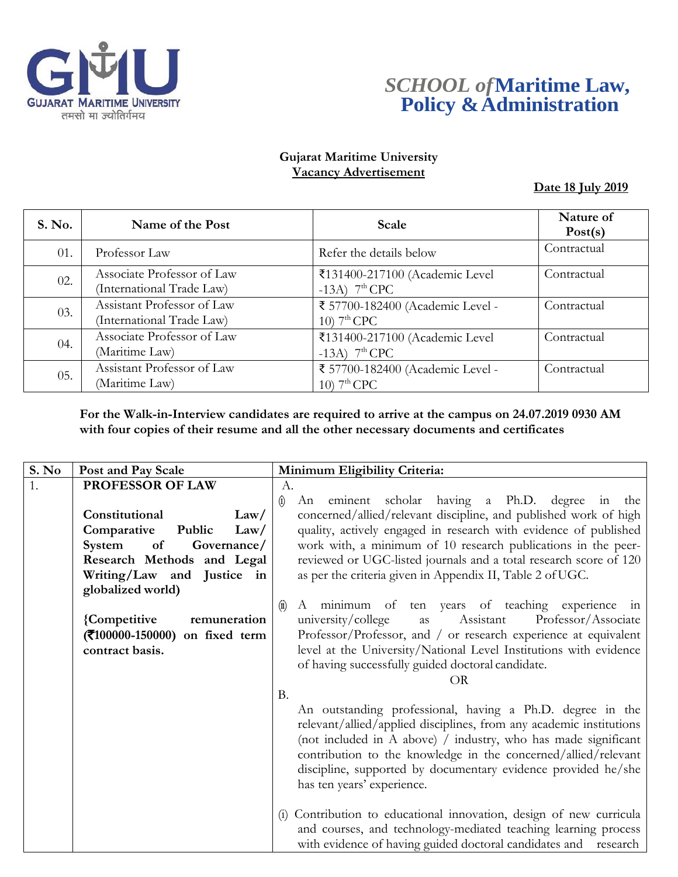



### **Gujarat Maritime University Vacancy Advertisement**

**Date 18 July 2019**

| <b>S. No.</b> | Name of the Post                                        | Scale                                             | Nature of<br>Post(s) |
|---------------|---------------------------------------------------------|---------------------------------------------------|----------------------|
| 01.           | Professor Law                                           | Refer the details below                           | Contractual          |
| 02.           | Associate Professor of Law<br>(International Trade Law) | ₹131400-217100 (Academic Level<br>-13A) $7th$ CPC | Contractual          |
| 03.           | Assistant Professor of Law<br>(International Trade Law) | ₹ 57700-182400 (Academic Level -<br>10) $7th$ CPC | Contractual          |
| 04.           | Associate Professor of Law<br>(Maritime Law)            | ₹131400-217100 (Academic Level<br>-13A) $7th$ CPC | Contractual          |
| 05.           | Assistant Professor of Law<br>(Maritime Law)            | ₹ 57700-182400 (Academic Level -<br>10) $7th$ CPC | Contractual          |

**For the Walk-in-Interview candidates are required to arrive at the campus on 24.07.2019 0930 AM with four copies of their resume and all the other necessary documents and certificates**

| S. No | Post and Pay Scale                              | Minimum Eligibility Criteria:                                       |
|-------|-------------------------------------------------|---------------------------------------------------------------------|
| 1.    | PROFESSOR OF LAW                                | A.                                                                  |
|       |                                                 | $\hat{a}$<br>eminent scholar having a Ph.D. degree in<br>An<br>the  |
|       | Constitutional<br>Law/                          | concerned/allied/relevant discipline, and published work of high    |
|       | Public<br>Comparative<br>Law/                   | quality, actively engaged in research with evidence of published    |
|       | Governance/<br>of<br>System                     | work with, a minimum of 10 research publications in the peer-       |
|       | Research Methods and Legal                      | reviewed or UGC-listed journals and a total research score of 120   |
|       | Writing/Law and Justice in<br>globalized world) | as per the criteria given in Appendix II, Table 2 of UGC.           |
|       |                                                 | A minimum of ten years of teaching experience in<br>$\circled{1}$   |
|       | {Competitive<br>remuneration                    | university/college<br>Assistant<br>Professor/Associate<br>as        |
|       | (₹100000-150000) on fixed term                  | Professor/Professor, and / or research experience at equivalent     |
|       | contract basis.                                 | level at the University/National Level Institutions with evidence   |
|       |                                                 | of having successfully guided doctoral candidate.                   |
|       |                                                 | OR                                                                  |
|       |                                                 | <b>B.</b>                                                           |
|       |                                                 | An outstanding professional, having a Ph.D. degree in the           |
|       |                                                 | relevant/allied/applied disciplines, from any academic institutions |
|       |                                                 | (not included in A above) / industry, who has made significant      |
|       |                                                 | contribution to the knowledge in the concerned/allied/relevant      |
|       |                                                 | discipline, supported by documentary evidence provided he/she       |
|       |                                                 | has ten years' experience.                                          |
|       |                                                 |                                                                     |
|       |                                                 | (i) Contribution to educational innovation, design of new curricula |
|       |                                                 | and courses, and technology-mediated teaching learning process      |
|       |                                                 | with evidence of having guided doctoral candidates and research     |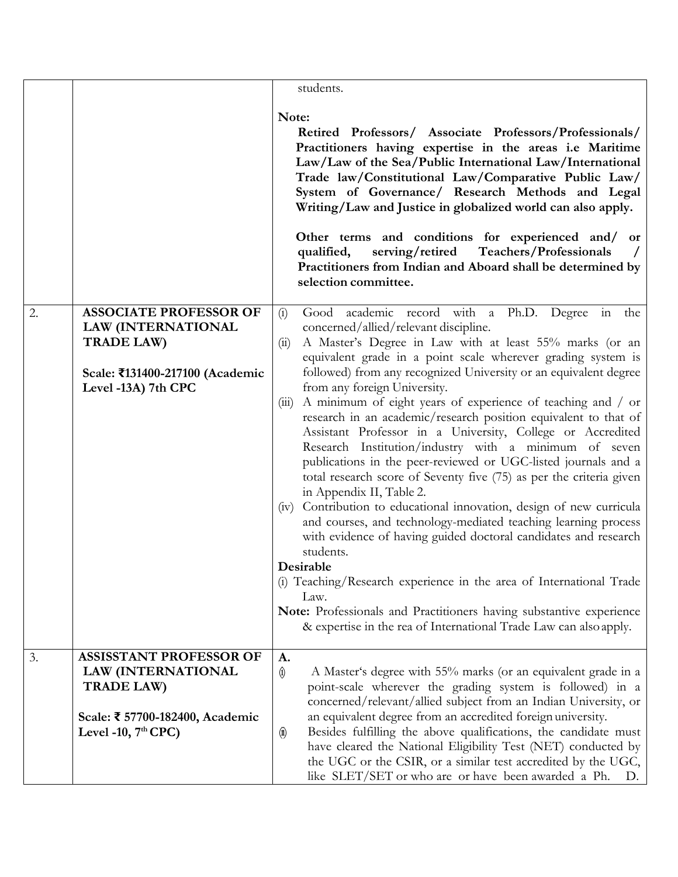|    |                                                                                                                                              | students.                                                                                                                                                                                                                                                                                                                                                                                                                                                                                                                                                                                                                                                                                                                                                                                                                                                                                                                                                                                                                                                                                                                                                                                                                                          |
|----|----------------------------------------------------------------------------------------------------------------------------------------------|----------------------------------------------------------------------------------------------------------------------------------------------------------------------------------------------------------------------------------------------------------------------------------------------------------------------------------------------------------------------------------------------------------------------------------------------------------------------------------------------------------------------------------------------------------------------------------------------------------------------------------------------------------------------------------------------------------------------------------------------------------------------------------------------------------------------------------------------------------------------------------------------------------------------------------------------------------------------------------------------------------------------------------------------------------------------------------------------------------------------------------------------------------------------------------------------------------------------------------------------------|
|    |                                                                                                                                              | Note:<br>Retired Professors/ Associate Professors/Professionals/<br>Practitioners having expertise in the areas i.e Maritime<br>Law/Law of the Sea/Public International Law/International<br>Trade law/Constitutional Law/Comparative Public Law/<br>System of Governance/ Research Methods and Legal<br>Writing/Law and Justice in globalized world can also apply.<br>Other terms and conditions for experienced and/ or<br>serving/retired<br>Teachers/Professionals<br>qualified,<br>Practitioners from Indian and Aboard shall be determined by<br>selection committee.                                                                                                                                                                                                                                                                                                                                                                                                                                                                                                                                                                                                                                                                       |
| 2. | <b>ASSOCIATE PROFESSOR OF</b><br><b>LAW (INTERNATIONAL</b><br><b>TRADE LAW)</b><br>Scale: ₹131400-217100 (Academic<br>Level -13A) 7th CPC    | Good academic record with a Ph.D. Degree in<br>the<br>(i)<br>concerned/allied/relevant discipline.<br>A Master's Degree in Law with at least 55% marks (or an<br>(ii)<br>equivalent grade in a point scale wherever grading system is<br>followed) from any recognized University or an equivalent degree<br>from any foreign University.<br>A minimum of eight years of experience of teaching and / or<br>(iii)<br>research in an academic/research position equivalent to that of<br>Assistant Professor in a University, College or Accredited<br>Research Institution/industry with a minimum of seven<br>publications in the peer-reviewed or UGC-listed journals and a<br>total research score of Seventy five (75) as per the criteria given<br>in Appendix II, Table 2.<br>(iv) Contribution to educational innovation, design of new curricula<br>and courses, and technology-mediated teaching learning process<br>with evidence of having guided doctoral candidates and research<br>students.<br>Desirable<br>(i) Teaching/Research experience in the area of International Trade<br>Law.<br>Note: Professionals and Practitioners having substantive experience<br>& expertise in the rea of International Trade Law can also apply. |
| 3. | <b>ASSISSTANT PROFESSOR OF</b><br><b>LAW (INTERNATIONAL</b><br><b>TRADE LAW)</b><br>Scale: ₹ 57700-182400, Academic<br>Level -10, $7th$ CPC) | A.<br>A Master's degree with 55% marks (or an equivalent grade in a<br>$\hat{\mathbf{\theta}}$<br>point-scale wherever the grading system is followed) in a<br>concerned/relevant/allied subject from an Indian University, or<br>an equivalent degree from an accredited foreign university.<br>Besides fulfilling the above qualifications, the candidate must<br>$\circledast$<br>have cleared the National Eligibility Test (NET) conducted by<br>the UGC or the CSIR, or a similar test accredited by the UGC,<br>like SLET/SET or who are or have been awarded a Ph.<br>D.                                                                                                                                                                                                                                                                                                                                                                                                                                                                                                                                                                                                                                                                   |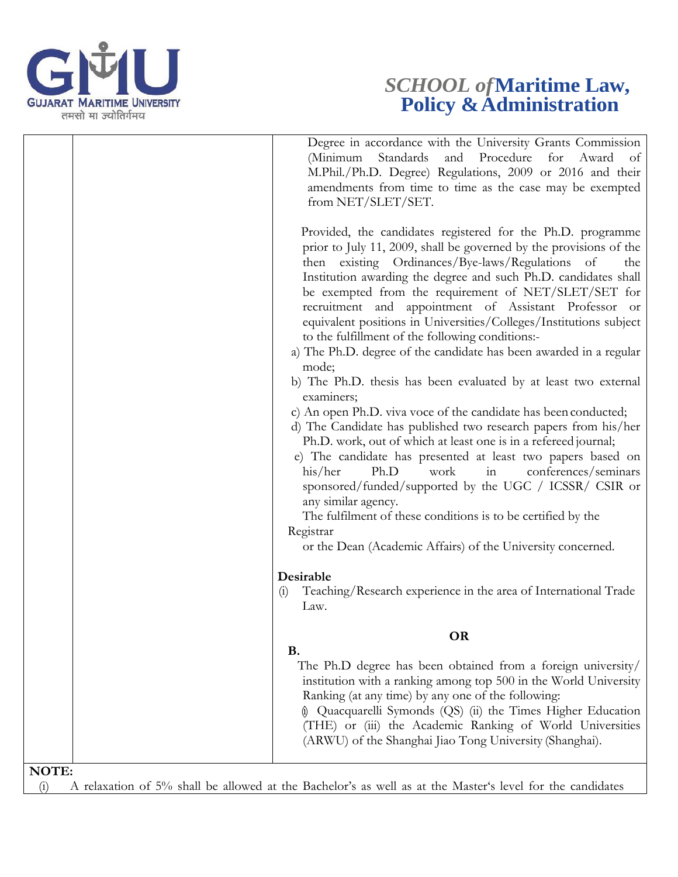

# *SCHOOL of***Maritime Law, Policy & Administration**

|                     | Degree in accordance with the University Grants Commission<br>and Procedure<br>(Minimum<br>Standards<br>for Award<br>of<br>M.Phil./Ph.D. Degree) Regulations, 2009 or 2016 and their<br>amendments from time to time as the case may be exempted<br>from NET/SLET/SET.                                                                                                                                                                                                                                                                                                                                                                                                                                                                                                                                                                                                                                                                                                                                                                                                                                                                                                                                                                                                                                                                                 |
|---------------------|--------------------------------------------------------------------------------------------------------------------------------------------------------------------------------------------------------------------------------------------------------------------------------------------------------------------------------------------------------------------------------------------------------------------------------------------------------------------------------------------------------------------------------------------------------------------------------------------------------------------------------------------------------------------------------------------------------------------------------------------------------------------------------------------------------------------------------------------------------------------------------------------------------------------------------------------------------------------------------------------------------------------------------------------------------------------------------------------------------------------------------------------------------------------------------------------------------------------------------------------------------------------------------------------------------------------------------------------------------|
|                     | Provided, the candidates registered for the Ph.D. programme<br>prior to July 11, 2009, shall be governed by the provisions of the<br>then existing Ordinances/Bye-laws/Regulations of<br>the<br>Institution awarding the degree and such Ph.D. candidates shall<br>be exempted from the requirement of NET/SLET/SET for<br>recruitment and appointment of Assistant Professor or<br>equivalent positions in Universities/Colleges/Institutions subject<br>to the fulfillment of the following conditions:-<br>a) The Ph.D. degree of the candidate has been awarded in a regular<br>mode;<br>b) The Ph.D. thesis has been evaluated by at least two external<br>examiners;<br>c) An open Ph.D. viva voce of the candidate has been conducted;<br>d) The Candidate has published two research papers from his/her<br>Ph.D. work, out of which at least one is in a refereed journal;<br>e) The candidate has presented at least two papers based on<br>his/her<br>Ph.D<br>work<br>conferences/seminars<br>in<br>sponsored/funded/supported by the UGC / ICSSR/ CSIR or<br>any similar agency.<br>The fulfilment of these conditions is to be certified by the<br>Registrar<br>or the Dean (Academic Affairs) of the University concerned.<br>Desirable<br>Teaching/Research experience in the area of International Trade<br>$\left( 1 \right)$<br>Law. |
|                     |                                                                                                                                                                                                                                                                                                                                                                                                                                                                                                                                                                                                                                                                                                                                                                                                                                                                                                                                                                                                                                                                                                                                                                                                                                                                                                                                                        |
|                     | <b>OR</b><br><b>B.</b>                                                                                                                                                                                                                                                                                                                                                                                                                                                                                                                                                                                                                                                                                                                                                                                                                                                                                                                                                                                                                                                                                                                                                                                                                                                                                                                                 |
|                     | The Ph.D degree has been obtained from a foreign university/<br>institution with a ranking among top 500 in the World University<br>Ranking (at any time) by any one of the following:<br>(i) Quacquarelli Symonds (QS) (ii) the Times Higher Education<br>(THE) or (iii) the Academic Ranking of World Universities<br>(ARWU) of the Shanghai Jiao Tong University (Shanghai).                                                                                                                                                                                                                                                                                                                                                                                                                                                                                                                                                                                                                                                                                                                                                                                                                                                                                                                                                                        |
| <b>NOTE:</b><br>(i) | A relaxation of 5% shall be allowed at the Bachelor's as well as at the Master's level for the candidates                                                                                                                                                                                                                                                                                                                                                                                                                                                                                                                                                                                                                                                                                                                                                                                                                                                                                                                                                                                                                                                                                                                                                                                                                                              |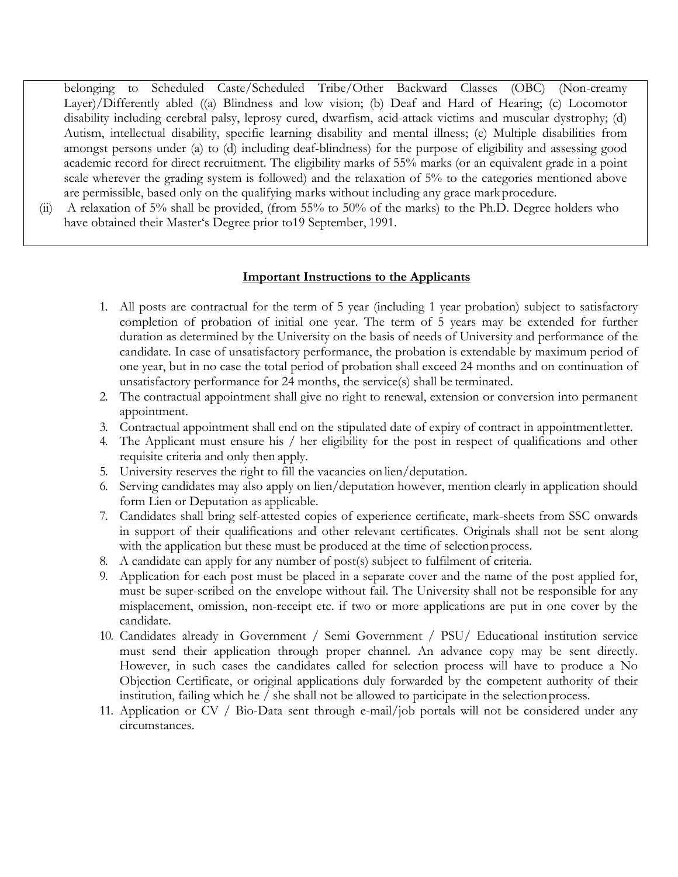belonging to Scheduled Caste/Scheduled Tribe/Other Backward Classes (OBC) (Non-creamy Layer)/Differently abled ((a) Blindness and low vision; (b) Deaf and Hard of Hearing; (c) Locomotor disability including cerebral palsy, leprosy cured, dwarfism, acid-attack victims and muscular dystrophy; (d) Autism, intellectual disability, specific learning disability and mental illness; (e) Multiple disabilities from amongst persons under (a) to (d) including deaf-blindness) for the purpose of eligibility and assessing good academic record for direct recruitment. The eligibility marks of 55% marks (or an equivalent grade in a point scale wherever the grading system is followed) and the relaxation of 5% to the categories mentioned above are permissible, based only on the qualifying marks without including any grace mark procedure.

(ii) A relaxation of 5% shall be provided, (from 55% to 50% of the marks) to the Ph.D. Degree holders who have obtained their Master's Degree prior to19 September, 1991.

#### **Important Instructions to the Applicants**

- 1. All posts are contractual for the term of 5 year (including 1 year probation) subject to satisfactory completion of probation of initial one year. The term of 5 years may be extended for further duration as determined by the University on the basis of needs of University and performance of the candidate. In case of unsatisfactory performance, the probation is extendable by maximum period of one year, but in no case the total period of probation shall exceed 24 months and on continuation of unsatisfactory performance for 24 months, the service(s) shall be terminated.
- 2. The contractual appointment shall give no right to renewal, extension or conversion into permanent appointment.
- 3. Contractual appointment shall end on the stipulated date of expiry of contract in appointmentletter.
- 4. The Applicant must ensure his / her eligibility for the post in respect of qualifications and other requisite criteria and only then apply.
- 5. University reserves the right to fill the vacancies on lien/deputation.
- 6. Serving candidates may also apply on lien/deputation however, mention clearly in application should form Lien or Deputation as applicable.
- 7. Candidates shall bring self-attested copies of experience certificate, mark-sheets from SSC onwards in support of their qualifications and other relevant certificates. Originals shall not be sent along with the application but these must be produced at the time of selection process.
- 8. A candidate can apply for any number of post(s) subject to fulfilment of criteria.
- 9. Application for each post must be placed in a separate cover and the name of the post applied for, must be super-scribed on the envelope without fail. The University shall not be responsible for any misplacement, omission, non-receipt etc. if two or more applications are put in one cover by the candidate.
- 10. Candidates already in Government / Semi Government / PSU/ Educational institution service must send their application through proper channel. An advance copy may be sent directly. However, in such cases the candidates called for selection process will have to produce a No Objection Certificate, or original applications duly forwarded by the competent authority of their institution, failing which he / she shall not be allowed to participate in the selectionprocess.
- 11. Application or CV / Bio-Data sent through e-mail/job portals will not be considered under any circumstances.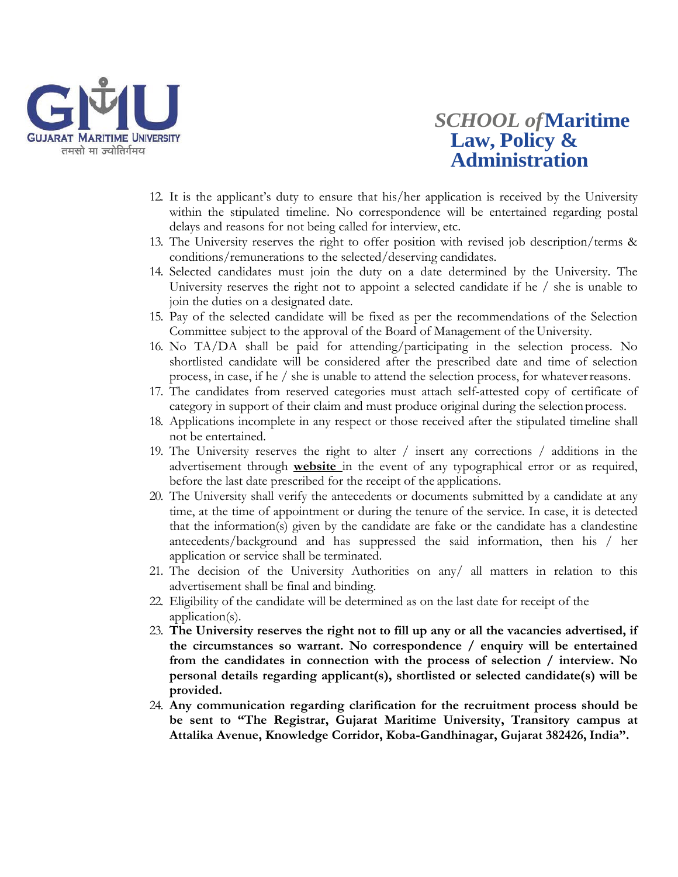

## *SCHOOL of***Maritime Law, Policy & Administration**

- 12. It is the applicant's duty to ensure that his/her application is received by the University within the stipulated timeline. No correspondence will be entertained regarding postal delays and reasons for not being called for interview, etc.
- 13. The University reserves the right to offer position with revised job description/terms & conditions/remunerations to the selected/deserving candidates.
- 14. Selected candidates must join the duty on a date determined by the University. The University reserves the right not to appoint a selected candidate if he / she is unable to join the duties on a designated date.
- 15. Pay of the selected candidate will be fixed as per the recommendations of the Selection Committee subject to the approval of the Board of Management of theUniversity.
- 16. No TA/DA shall be paid for attending/participating in the selection process. No shortlisted candidate will be considered after the prescribed date and time of selection process, in case, if he / she is unable to attend the selection process, for whateverreasons.
- 17. The candidates from reserved categories must attach self-attested copy of certificate of category in support of their claim and must produce original during the selectionprocess.
- 18. Applications incomplete in any respect or those received after the stipulated timeline shall not be entertained.
- 19. The University reserves the right to alter / insert any corrections / additions in the advertisement through **website** in the event of any typographical error or as required, before the last date prescribed for the receipt of the applications.
- 20. The University shall verify the antecedents or documents submitted by a candidate at any time, at the time of appointment or during the tenure of the service. In case, it is detected that the information(s) given by the candidate are fake or the candidate has a clandestine antecedents/background and has suppressed the said information, then his / her application or service shall be terminated.
- 21. The decision of the University Authorities on any/ all matters in relation to this advertisement shall be final and binding.
- 22. Eligibility of the candidate will be determined as on the last date for receipt of the application(s).
- 23. **The University reserves the right not to fill up any or all the vacancies advertised, if the circumstances so warrant. No correspondence / enquiry will be entertained from the candidates in connection with the process of selection / interview. No personal details regarding applicant(s), shortlisted or selected candidate(s) will be provided.**
- 24. **Any communication regarding clarification for the recruitment process should be be sent to "The Registrar, Gujarat Maritime University, Transitory campus at Attalika Avenue, Knowledge Corridor, Koba-Gandhinagar, Gujarat 382426,India".**